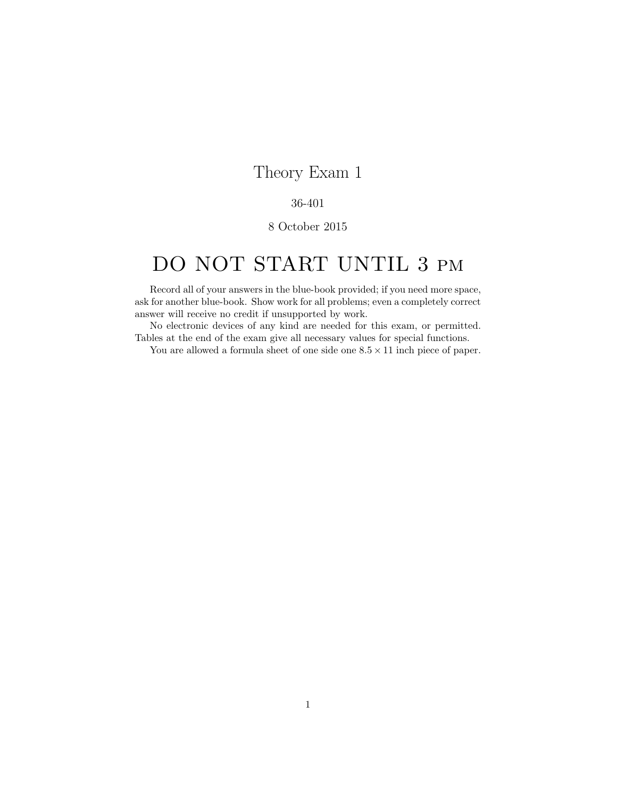## Theory Exam 1

## 36-401

## 8 October 2015

## DO NOT START UNTIL 3 pm

Record all of your answers in the blue-book provided; if you need more space, ask for another blue-book. Show work for all problems; even a completely correct answer will receive no credit if unsupported by work.

No electronic devices of any kind are needed for this exam, or permitted. Tables at the end of the exam give all necessary values for special functions.

You are allowed a formula sheet of one side one  $8.5 \times 11$  inch piece of paper.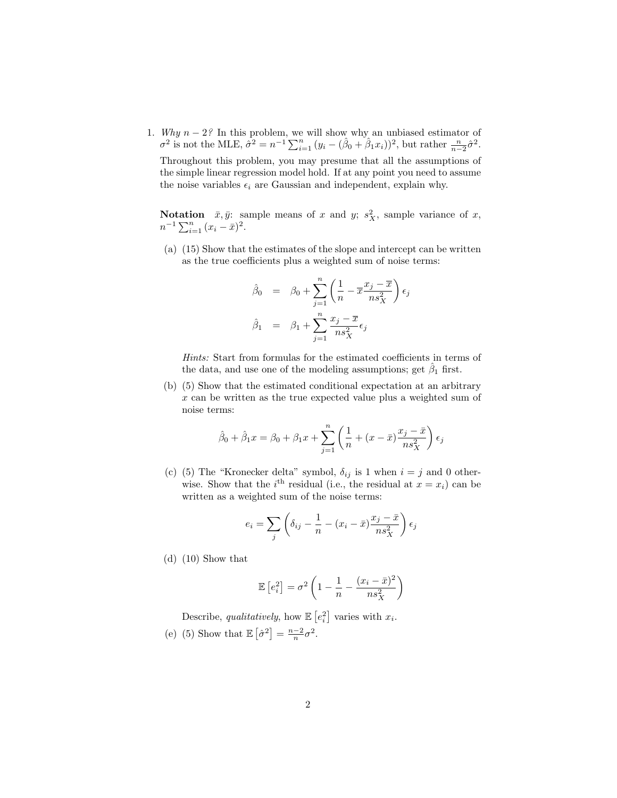1. Why  $n-2$ ? In this problem, we will show why an unbiased estimator of  $\sigma^2$  is not the MLE,  $\hat{\sigma}^2 = n^{-1} \sum_{i=1}^n (y_i - (\hat{\beta}_0 + \hat{\beta}_1 x_i))^2$ , but rather  $\frac{n}{n-2} \hat{\sigma}^2$ . Throughout this problem, you may presume that all the assumptions of the simple linear regression model hold. If at any point you need to assume

the noise variables  $\epsilon_i$  are Gaussian and independent, explain why.

**Notation**  $\bar{x}, \bar{y}$ : sample means of x and y;  $s_X^2$ , sample variance of x,  $n^{-1} \sum_{i=1}^{n} (x_i - \bar{x})^2$ .

(a) (15) Show that the estimates of the slope and intercept can be written as the true coefficients plus a weighted sum of noise terms:

$$
\hat{\beta}_0 = \beta_0 + \sum_{j=1}^n \left( \frac{1}{n} - \overline{x} \frac{x_j - \overline{x}}{n s_X^2} \right) \epsilon_j
$$

$$
\hat{\beta}_1 = \beta_1 + \sum_{j=1}^n \frac{x_j - \overline{x}}{n s_X^2} \epsilon_j
$$

Hints: Start from formulas for the estimated coefficients in terms of the data, and use one of the modeling assumptions; get  $\hat{\beta}_1$  first.

(b) (5) Show that the estimated conditional expectation at an arbitrary x can be written as the true expected value plus a weighted sum of noise terms:

$$
\hat{\beta}_0 + \hat{\beta}_1 x = \beta_0 + \beta_1 x + \sum_{j=1}^n \left( \frac{1}{n} + (x - \bar{x}) \frac{x_j - \bar{x}}{n s_X^2} \right) \epsilon_j
$$

(c) (5) The "Kronecker delta" symbol,  $\delta_{ij}$  is 1 when  $i = j$  and 0 otherwise. Show that the *i*<sup>th</sup> residual (i.e., the residual at  $x = x_i$ ) can be written as a weighted sum of the noise terms:

$$
e_i = \sum_j \left( \delta_{ij} - \frac{1}{n} - (x_i - \bar{x}) \frac{x_j - \bar{x}}{n s_X^2} \right) \epsilon_j
$$

(d) (10) Show that

$$
\mathbb{E}\left[e_i^2\right] = \sigma^2 \left(1 - \frac{1}{n} - \frac{(x_i - \bar{x})^2}{n s_X^2}\right)
$$

Describe, qualitatively, how  $\mathbb{E}\left[e_i^2\right]$  varies with  $x_i$ .

(e) (5) Show that  $\mathbb{E}\left[\hat{\sigma}^2\right] = \frac{n-2}{n}\sigma^2$ .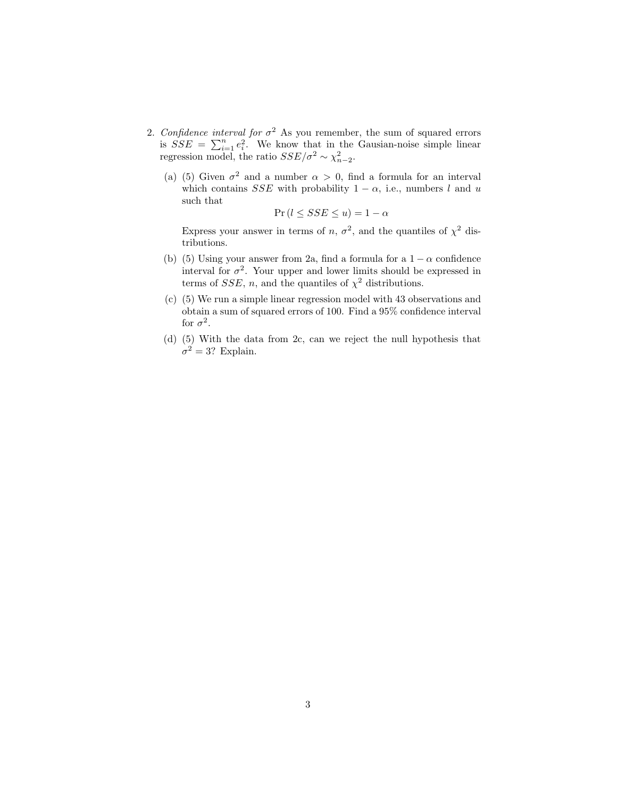- 2. Confidence interval for  $\sigma^2$  As you remember, the sum of squared errors is  $SSE = \sum_{i=1}^{n} e_i^2$ . We know that in the Gausian-noise simple linear regression model, the ratio  $SSE/\sigma^2 \sim \chi^2_{n-2}$ .
	- (a) (5) Given  $\sigma^2$  and a number  $\alpha > 0$ , find a formula for an interval which contains SSE with probability  $1 - \alpha$ , i.e., numbers l and u such that

$$
\Pr(l \leq SSE \leq u) = 1 - \alpha
$$

Express your answer in terms of n,  $\sigma^2$ , and the quantiles of  $\chi^2$  distributions.

- (b) (5) Using your answer from 2a, find a formula for a  $1 \alpha$  confidence interval for  $\sigma^2$ . Your upper and lower limits should be expressed in terms of SSE, n, and the quantiles of  $\chi^2$  distributions.
- (c) (5) We run a simple linear regression model with 43 observations and obtain a sum of squared errors of 100. Find a 95% confidence interval for  $\sigma^2$ .
- (d) (5) With the data from 2c, can we reject the null hypothesis that  $\sigma^2 = 3$ ? Explain.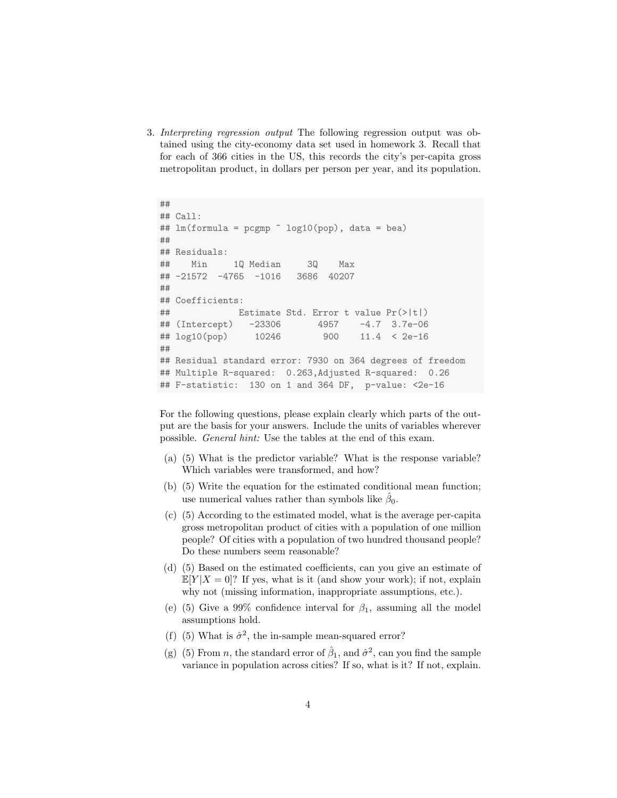3. Interpreting regression output The following regression output was obtained using the city-economy data set used in homework 3. Recall that for each of 366 cities in the US, this records the city's per-capita gross metropolitan product, in dollars per person per year, and its population.

```
##
## Call:
## lm(formula = pcgmp " log10 (pop), data = bea)##
## Residuals:
## Min 1Q Median 3Q Max
## -21572 -4765 -1016 3686 40207
##
## Coefficients:
## Estimate Std. Error t value Pr(>|t|)
## (Intercept) -23306 4957 -4.7 3.7e-06
## log10(pop) 10246 900 11.4 < 2e-16
##
## Residual standard error: 7930 on 364 degrees of freedom
## Multiple R-squared: 0.263,Adjusted R-squared: 0.26
## F-statistic: 130 on 1 and 364 DF, p-value: <2e-16
```
For the following questions, please explain clearly which parts of the output are the basis for your answers. Include the units of variables wherever possible. General hint: Use the tables at the end of this exam.

- (a) (5) What is the predictor variable? What is the response variable? Which variables were transformed, and how?
- (b) (5) Write the equation for the estimated conditional mean function; use numerical values rather than symbols like  $\hat{\beta}_0$ .
- (c) (5) According to the estimated model, what is the average per-capita gross metropolitan product of cities with a population of one million people? Of cities with a population of two hundred thousand people? Do these numbers seem reasonable?
- (d) (5) Based on the estimated coefficients, can you give an estimate of  $\mathbb{E}[Y|X=0]$ ? If yes, what is it (and show your work); if not, explain why not (missing information, inappropriate assumptions, etc.).
- (e) (5) Give a 99% confidence interval for  $\beta_1$ , assuming all the model assumptions hold.
- (f) (5) What is  $\hat{\sigma}^2$ , the in-sample mean-squared error?
- (g) (5) From *n*, the standard error of  $\hat{\beta}_1$ , and  $\hat{\sigma}^2$ , can you find the sample variance in population across cities? If so, what is it? If not, explain.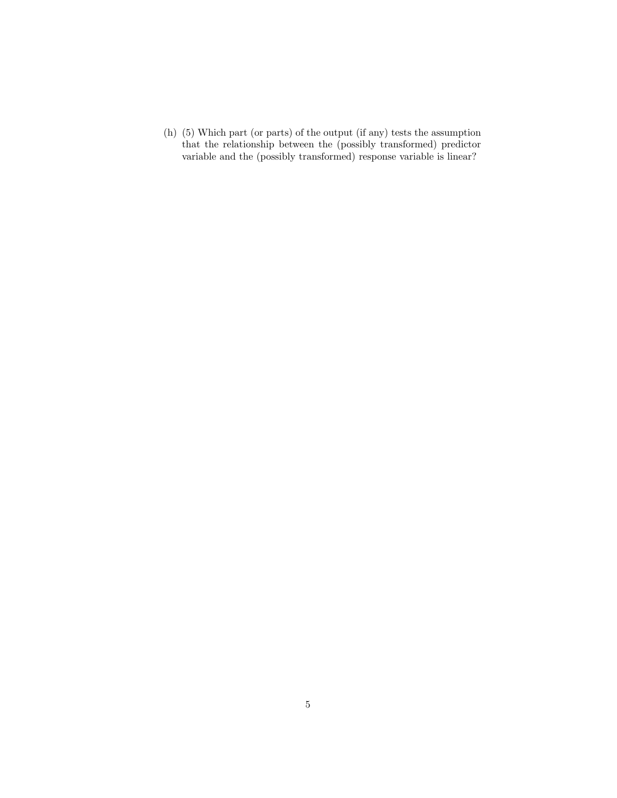(h) (5) Which part (or parts) of the output (if any) tests the assumption that the relationship between the (possibly transformed) predictor variable and the (possibly transformed) response variable is linear?